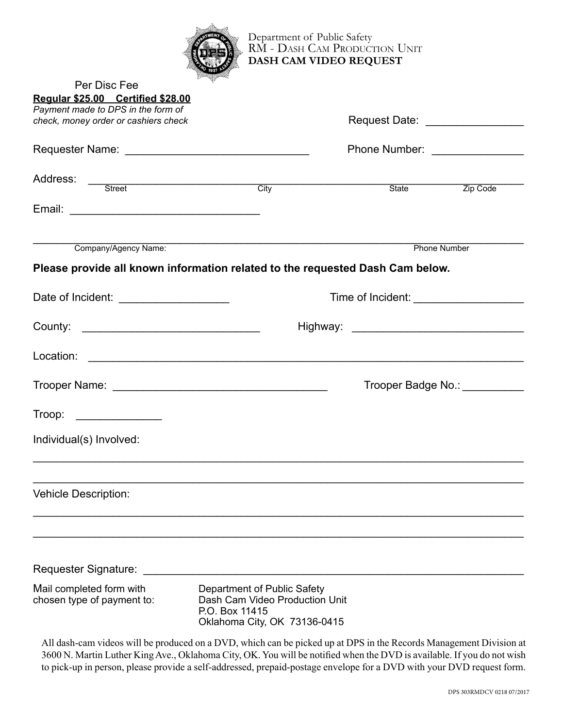

Per Disc Fee

Department of Public Safety RM - DASH CAM PRODUCTION UNIT **Dash Cam Video Request**

| $\overline{1}$ of Disc foot<br>Regular \$25.00 Certified \$28.00              |                                                                                                                 |                                 |                     |  |
|-------------------------------------------------------------------------------|-----------------------------------------------------------------------------------------------------------------|---------------------------------|---------------------|--|
| Payment made to DPS in the form of<br>check, money order or cashiers check    |                                                                                                                 |                                 |                     |  |
|                                                                               |                                                                                                                 |                                 |                     |  |
|                                                                               |                                                                                                                 | Phone Number: _________________ |                     |  |
|                                                                               |                                                                                                                 |                                 |                     |  |
| Address: Street City                                                          |                                                                                                                 | State                           | Zip Code            |  |
|                                                                               |                                                                                                                 |                                 |                     |  |
|                                                                               | Company/Agency Name:                                                                                            |                                 | <b>Phone Number</b> |  |
| Please provide all known information related to the requested Dash Cam below. |                                                                                                                 |                                 |                     |  |
|                                                                               |                                                                                                                 |                                 |                     |  |
| Date of Incident: _______________________                                     |                                                                                                                 |                                 |                     |  |
|                                                                               |                                                                                                                 |                                 |                     |  |
|                                                                               |                                                                                                                 |                                 |                     |  |
|                                                                               |                                                                                                                 | Trooper Badge No.: ___________  |                     |  |
|                                                                               |                                                                                                                 |                                 |                     |  |
| Individual(s) Involved:                                                       |                                                                                                                 |                                 |                     |  |
|                                                                               |                                                                                                                 |                                 |                     |  |
| <b>Vehicle Description:</b>                                                   |                                                                                                                 |                                 |                     |  |
|                                                                               |                                                                                                                 |                                 |                     |  |
|                                                                               |                                                                                                                 |                                 |                     |  |
| Requester Signature:                                                          |                                                                                                                 |                                 |                     |  |
| Mail completed form with<br>chosen type of payment to:                        | Department of Public Safety<br>Dash Cam Video Production Unit<br>P.O. Box 11415<br>Oklahoma City, OK 73136-0415 |                                 |                     |  |

All dash-cam videos will be produced on a DVD, which can be picked up at DPS in the Records Management Division at 3600 N. Martin Luther King Ave., Oklahoma City, OK. You will be notified when the DVD is available. If you do not wish to pick-up in person, please provide a self-addressed, prepaid-postage envelope for a DVD with your DVD request form.